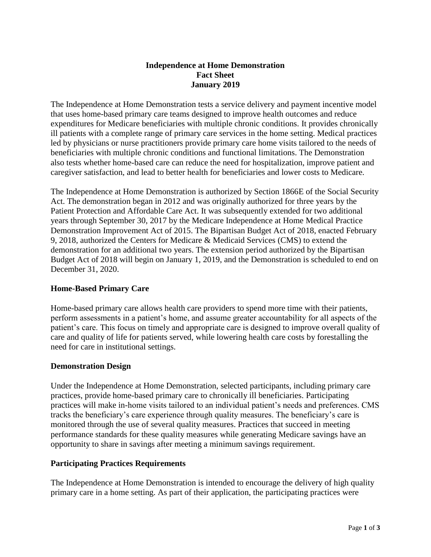## **Independence at Home Demonstration Fact Sheet January 2019**

The Independence at Home Demonstration tests a service delivery and payment incentive model that uses home-based primary care teams designed to improve health outcomes and reduce expenditures for Medicare beneficiaries with multiple chronic conditions. It provides chronically ill patients with a complete range of primary care services in the home setting. Medical practices led by physicians or nurse practitioners provide primary care home visits tailored to the needs of beneficiaries with multiple chronic conditions and functional limitations. The Demonstration also tests whether home-based care can reduce the need for hospitalization, improve patient and caregiver satisfaction, and lead to better health for beneficiaries and lower costs to Medicare.

The Independence at Home Demonstration is authorized by Section 1866E of the Social Security Act. The demonstration began in 2012 and was originally authorized for three years by the Patient Protection and Affordable Care Act. It was subsequently extended for two additional years through September 30, 2017 by the Medicare Independence at Home Medical Practice Demonstration Improvement Act of 2015. The Bipartisan Budget Act of 2018, enacted February 9, 2018, authorized the Centers for Medicare & Medicaid Services (CMS) to extend the demonstration for an additional two years. The extension period authorized by the Bipartisan Budget Act of 2018 will begin on January 1, 2019, and the Demonstration is scheduled to end on December 31, 2020.

# **Home-Based Primary Care**

Home-based primary care allows health care providers to spend more time with their patients, perform assessments in a patient's home, and assume greater accountability for all aspects of the patient's care. This focus on timely and appropriate care is designed to improve overall quality of care and quality of life for patients served, while lowering health care costs by forestalling the need for care in institutional settings.

### **Demonstration Design**

Under the Independence at Home Demonstration, selected participants, including primary care practices, provide home-based primary care to chronically ill beneficiaries. Participating practices will make in-home visits tailored to an individual patient's needs and preferences. CMS tracks the beneficiary's care experience through quality measures. The beneficiary's care is monitored through the use of several quality measures. Practices that succeed in meeting performance standards for these quality measures while generating Medicare savings have an opportunity to share in savings after meeting a minimum savings requirement.

### **Participating Practices Requirements**

The Independence at Home Demonstration is intended to encourage the delivery of high quality primary care in a home setting. As part of their application, the participating practices were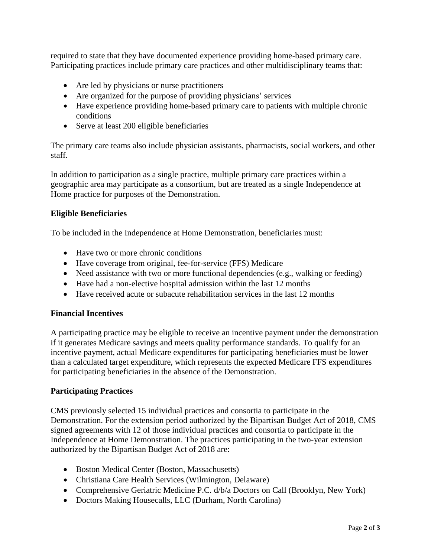required to state that they have documented experience providing home-based primary care. Participating practices include primary care practices and other multidisciplinary teams that:

- Are led by physicians or nurse practitioners
- Are organized for the purpose of providing physicians' services
- Have experience providing home-based primary care to patients with multiple chronic conditions
- Serve at least 200 eligible beneficiaries

The primary care teams also include physician assistants, pharmacists, social workers, and other staff.

In addition to participation as a single practice, multiple primary care practices within a geographic area may participate as a consortium, but are treated as a single Independence at Home practice for purposes of the Demonstration.

# **Eligible Beneficiaries**

To be included in the Independence at Home Demonstration, beneficiaries must:

- Have two or more chronic conditions
- Have coverage from original, fee-for-service (FFS) Medicare
- Need assistance with two or more functional dependencies (e.g., walking or feeding)
- Have had a non-elective hospital admission within the last 12 months
- Have received acute or subacute rehabilitation services in the last 12 months

### **Financial Incentives**

A participating practice may be eligible to receive an incentive payment under the demonstration if it generates Medicare savings and meets quality performance standards. To qualify for an incentive payment, actual Medicare expenditures for participating beneficiaries must be lower than a calculated target expenditure, which represents the expected Medicare FFS expenditures for participating beneficiaries in the absence of the Demonstration.

### **Participating Practices**

CMS previously selected 15 individual practices and consortia to participate in the Demonstration. For the extension period authorized by the Bipartisan Budget Act of 2018, CMS signed agreements with 12 of those individual practices and consortia to participate in the Independence at Home Demonstration. The practices participating in the two-year extension authorized by the Bipartisan Budget Act of 2018 are:

- Boston Medical Center (Boston, Massachusetts)
- Christiana Care Health Services (Wilmington, Delaware)
- Comprehensive Geriatric Medicine P.C. d/b/a Doctors on Call (Brooklyn, New York)
- Doctors Making Housecalls, LLC (Durham, North Carolina)